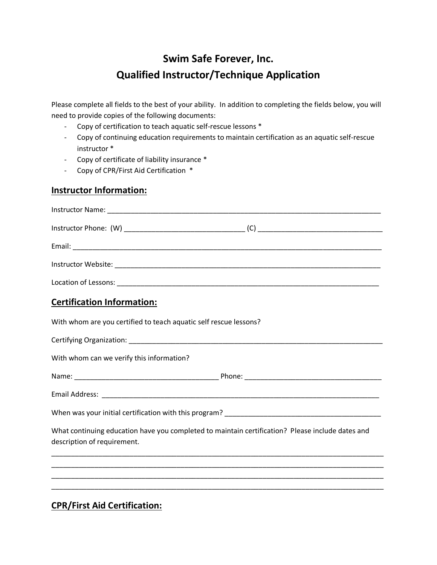# **Swim Safe Forever, Inc. Qualified Instructor/Technique Application**

Please complete all fields to the best of your ability. In addition to completing the fields below, you will need to provide copies of the following documents:

- Copy of certification to teach aquatic self-rescue lessons \*
- Copy of continuing education requirements to maintain certification as an aquatic self-rescue instructor \*
- Copy of certificate of liability insurance \*
- Copy of CPR/First Aid Certification \*

## **Instructor Information:**

| <b>Certification Information:</b>                                                                                     |                                                                                                  |
|-----------------------------------------------------------------------------------------------------------------------|--------------------------------------------------------------------------------------------------|
| With whom are you certified to teach aquatic self rescue lessons?                                                     |                                                                                                  |
|                                                                                                                       |                                                                                                  |
| With whom can we verify this information?                                                                             |                                                                                                  |
|                                                                                                                       |                                                                                                  |
|                                                                                                                       |                                                                                                  |
|                                                                                                                       |                                                                                                  |
| description of requirement.                                                                                           | What continuing education have you completed to maintain certification? Please include dates and |
|                                                                                                                       |                                                                                                  |
| <u> 1989 - Johann John Stein, markin film yn y brening yn y brening yn y brening yn y brening yn y brening yn y b</u> |                                                                                                  |
| $CDD$ $F$ $\cdots$ $A$ $\cdots$ $C$ $\cdots$ $C$ $\cdots$                                                             |                                                                                                  |

**CPR/First Aid Certification:**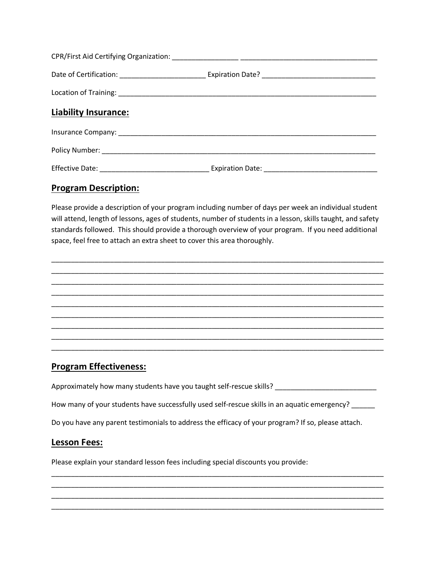| <b>Liability Insurance:</b> |  |  |
|-----------------------------|--|--|
|                             |  |  |
|                             |  |  |
|                             |  |  |

#### **Program Description:**

Please provide a description of your program including number of days per week an individual student will attend, length of lessons, ages of students, number of students in a lesson, skills taught, and safety standards followed. This should provide a thorough overview of your program. If you need additional space, feel free to attach an extra sheet to cover this area thoroughly.

\_\_\_\_\_\_\_\_\_\_\_\_\_\_\_\_\_\_\_\_\_\_\_\_\_\_\_\_\_\_\_\_\_\_\_\_\_\_\_\_\_\_\_\_\_\_\_\_\_\_\_\_\_\_\_\_\_\_\_\_\_\_\_\_\_\_\_\_\_\_\_\_\_\_\_\_\_\_\_\_\_\_\_\_\_ \_\_\_\_\_\_\_\_\_\_\_\_\_\_\_\_\_\_\_\_\_\_\_\_\_\_\_\_\_\_\_\_\_\_\_\_\_\_\_\_\_\_\_\_\_\_\_\_\_\_\_\_\_\_\_\_\_\_\_\_\_\_\_\_\_\_\_\_\_\_\_\_\_\_\_\_\_\_\_\_\_\_\_\_\_



# **Program Effectiveness:**

Approximately how many students have you taught self-rescue skills? \_\_\_\_\_\_\_\_\_\_\_\_\_\_\_\_\_\_\_\_\_\_\_\_\_\_

How many of your students have successfully used self-rescue skills in an aquatic emergency? \_\_\_\_\_\_

\_\_\_\_\_\_\_\_\_\_\_\_\_\_\_\_\_\_\_\_\_\_\_\_\_\_\_\_\_\_\_\_\_\_\_\_\_\_\_\_\_\_\_\_\_\_\_\_\_\_\_\_\_\_\_\_\_\_\_\_\_\_\_\_\_\_\_\_\_\_\_\_\_\_\_\_\_\_\_\_\_\_\_\_\_ \_\_\_\_\_\_\_\_\_\_\_\_\_\_\_\_\_\_\_\_\_\_\_\_\_\_\_\_\_\_\_\_\_\_\_\_\_\_\_\_\_\_\_\_\_\_\_\_\_\_\_\_\_\_\_\_\_\_\_\_\_\_\_\_\_\_\_\_\_\_\_\_\_\_\_\_\_\_\_\_\_\_\_\_\_ \_\_\_\_\_\_\_\_\_\_\_\_\_\_\_\_\_\_\_\_\_\_\_\_\_\_\_\_\_\_\_\_\_\_\_\_\_\_\_\_\_\_\_\_\_\_\_\_\_\_\_\_\_\_\_\_\_\_\_\_\_\_\_\_\_\_\_\_\_\_\_\_\_\_\_\_\_\_\_\_\_\_\_\_\_ \_\_\_\_\_\_\_\_\_\_\_\_\_\_\_\_\_\_\_\_\_\_\_\_\_\_\_\_\_\_\_\_\_\_\_\_\_\_\_\_\_\_\_\_\_\_\_\_\_\_\_\_\_\_\_\_\_\_\_\_\_\_\_\_\_\_\_\_\_\_\_\_\_\_\_\_\_\_\_\_\_\_\_\_\_

Do you have any parent testimonials to address the efficacy of your program? If so, please attach.

### **Lesson Fees:**

Please explain your standard lesson fees including special discounts you provide: